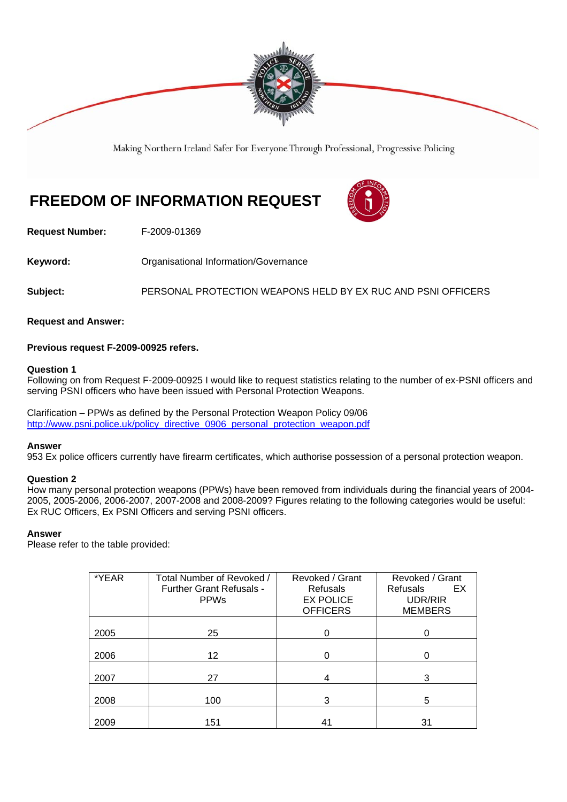

Making Northern Ireland Safer For Everyone Through Professional, Progressive Policing

# **FREEDOM OF INFORMATION REQUEST**



**Request Number:** F-2009-01369

Keyword: **Communistry Communists** Organisational Information/Governance

**Subject:** PERSONAL PROTECTION WEAPONS HELD BY EX RUC AND PSNI OFFICERS

**Request and Answer:** 

## **Previous request F-2009-00925 refers.**

### **Question 1**

Following on from Request F-2009-00925 I would like to request statistics relating to the number of ex-PSNI officers and serving PSNI officers who have been issued with Personal Protection Weapons.

Clarification – PPWs as defined by the Personal Protection Weapon Policy 09/06 http://www.psni.police.uk/policy\_directive\_0906\_personal\_protection\_weapon.pdf

### **Answer**

953 Ex police officers currently have firearm certificates, which authorise possession of a personal protection weapon.

### **Question 2**

How many personal protection weapons (PPWs) have been removed from individuals during the financial years of 2004- 2005, 2005-2006, 2006-2007, 2007-2008 and 2008-2009? Figures relating to the following categories would be useful: Ex RUC Officers, Ex PSNI Officers and serving PSNI officers.

## **Answer**

Please refer to the table provided:

| *YEAR | Total Number of Revoked /<br><b>Further Grant Refusals -</b><br><b>PPWs</b> | Revoked / Grant<br><b>Refusals</b><br><b>EX POLICE</b><br><b>OFFICERS</b> | Revoked / Grant<br>Refusals<br>EX.<br>UDR/RIR<br><b>MEMBERS</b> |
|-------|-----------------------------------------------------------------------------|---------------------------------------------------------------------------|-----------------------------------------------------------------|
| 2005  | 25                                                                          |                                                                           |                                                                 |
| 2006  | 12 <sup>2</sup>                                                             |                                                                           |                                                                 |
| 2007  | 27                                                                          | 4                                                                         | 3                                                               |
| 2008  | 100                                                                         | 3                                                                         | 5                                                               |
| 2009  | 151                                                                         | 41                                                                        | 31                                                              |